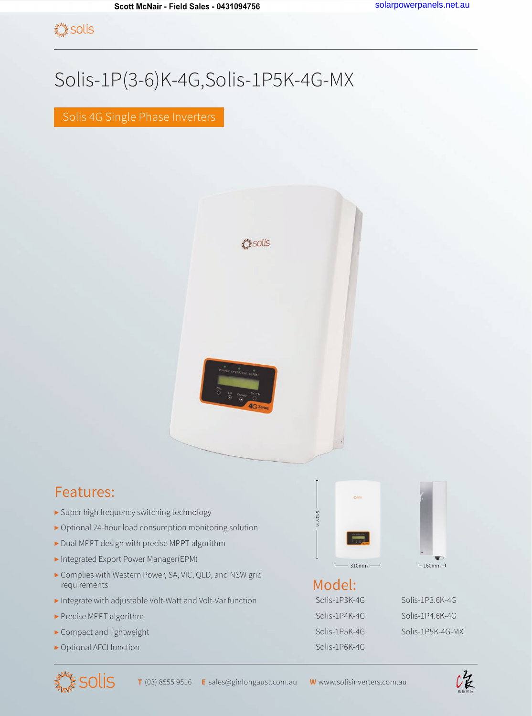## Solis-1P(3-6)K-4G,Solis-1P5K-4G-MX

Solis 4G Single Phase Inverters



## Features:

- ▶ Super high frequency switching technology
- ▶ Optional 24-hour load consumption monitoring solution
- ▶ Dual MPPT design with precise MPPT algorithm
- ▶ Integrated Export Power Manager(EPM)
- ▶ Complies with Western Power, SA, VIC, QLD, and NSW grid requirements
- ▶ Integrate with adjustable Volt-Watt and Volt-Var function
- ▶ Precise MPPT algorithm
- ▶ Compact and lightweight
- ▶ Optional AFCI function







## Model:

543mm

Solis-1P6K-4G



Solis-1P3K-4G Solis-1P3.6K-4G Solis-1P4K-4G Solis-1P4.6K-4G Solis-1P5K-4G Solis-1P5K-4G-MX